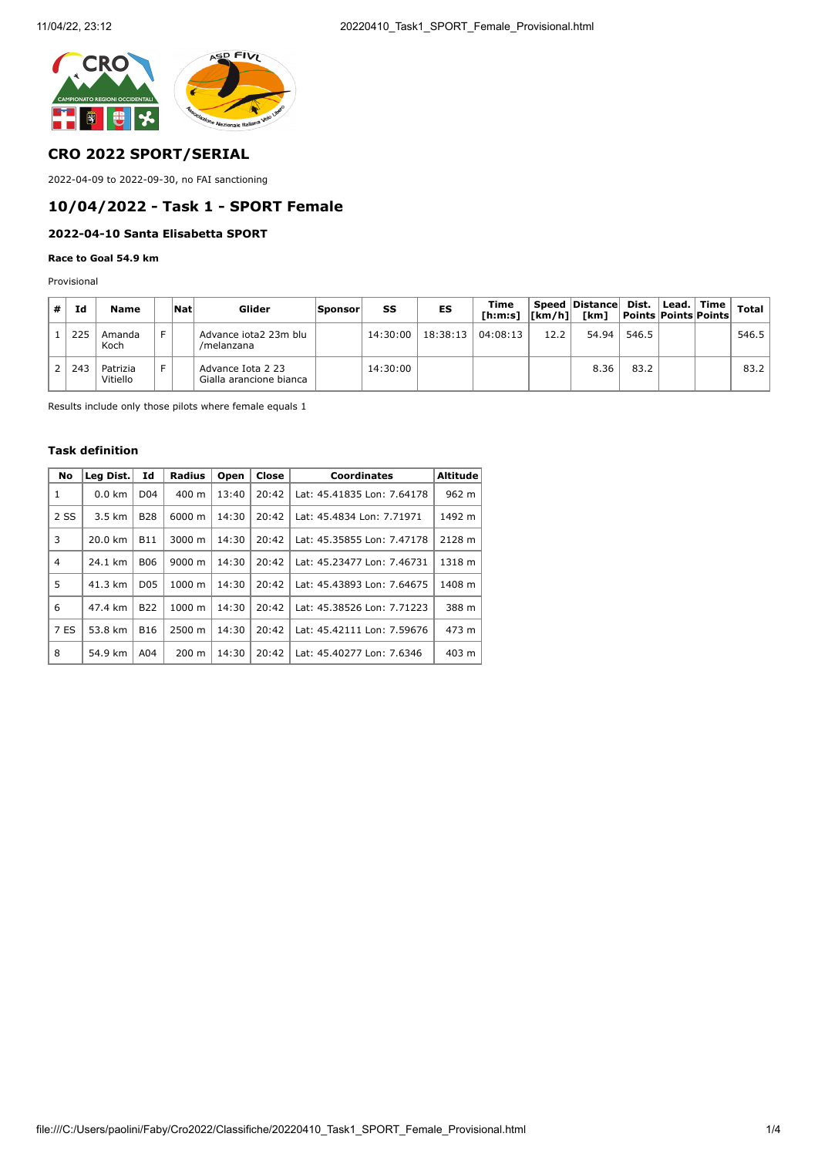

### **CRO 2022 SPORT/SERIAL**

2022-04-09 to 2022-09-30, no FAI sanctioning

## **10/04/2022 - Task 1 - SPORT Female**

## **2022-04-10 Santa Elisabetta SPORT**

#### **Race to Goal 54.9 km**

Provisional

| # | Id  | Name                 | Nat | Glider                                       | <b>Sponsor</b> | SS       | ES       | Time<br>[h:m:s]  [km/h]  [km]  Points  Points  Points |      | Speed Distance Dist.   Lead.   Time |       |  | <b>Total</b> |
|---|-----|----------------------|-----|----------------------------------------------|----------------|----------|----------|-------------------------------------------------------|------|-------------------------------------|-------|--|--------------|
|   | 225 | Amanda<br>Koch       |     | Advance iota2 23m blu<br>/melanzana          |                | 14:30:00 | 18:38:13 | 04:08:13                                              | 12.2 | 54.94                               | 546.5 |  | 546.5        |
|   | 243 | Patrizia<br>Vitiello |     | Advance Iota 2 23<br>Gialla arancione bianca |                | 14:30:00 |          |                                                       |      | 8.36                                | 83.2  |  | 83.2         |

Results include only those pilots where female equals 1

### **Task definition**

| <b>No</b>      | Leg Dist.        | Id              | <b>Radius</b>   | Open  | Close | Coordinates                | <b>Altitude</b> |
|----------------|------------------|-----------------|-----------------|-------|-------|----------------------------|-----------------|
| 1              | $0.0 \text{ km}$ | D <sub>04</sub> | $400 \text{ m}$ | 13:40 | 20:42 | Lat: 45.41835 Lon: 7.64178 | 962 m           |
| 2 SS           | $3.5 \text{ km}$ | <b>B28</b>      | 6000 m          | 14:30 | 20:42 | Lat: 45.4834 Lon: 7.71971  | 1492 m          |
| 3              | 20.0 km          | <b>B11</b>      | 3000 m          | 14:30 | 20:42 | Lat: 45.35855 Lon: 7.47178 | 2128 m          |
| $\overline{4}$ | 24.1 km          | <b>B06</b>      | 9000 m          | 14:30 | 20:42 | Lat: 45.23477 Lon: 7.46731 | 1318 m          |
| 5              | 41.3 km          | D <sub>05</sub> | 1000 m          | 14:30 | 20:42 | Lat: 45.43893 Lon: 7.64675 | 1408 m          |
| 6              | 47.4 km          | <b>B22</b>      | $1000 \; m$     | 14:30 | 20:42 | Lat: 45.38526 Lon: 7.71223 | 388 m           |
| 7 ES           | 53.8 km          | <b>B16</b>      | 2500 m          | 14:30 | 20:42 | Lat: 45.42111 Lon: 7.59676 | 473 m           |
| 8              | 54.9 km          | A04             | $200 \text{ m}$ | 14:30 | 20:42 | Lat: 45.40277 Lon: 7.6346  | 403 m           |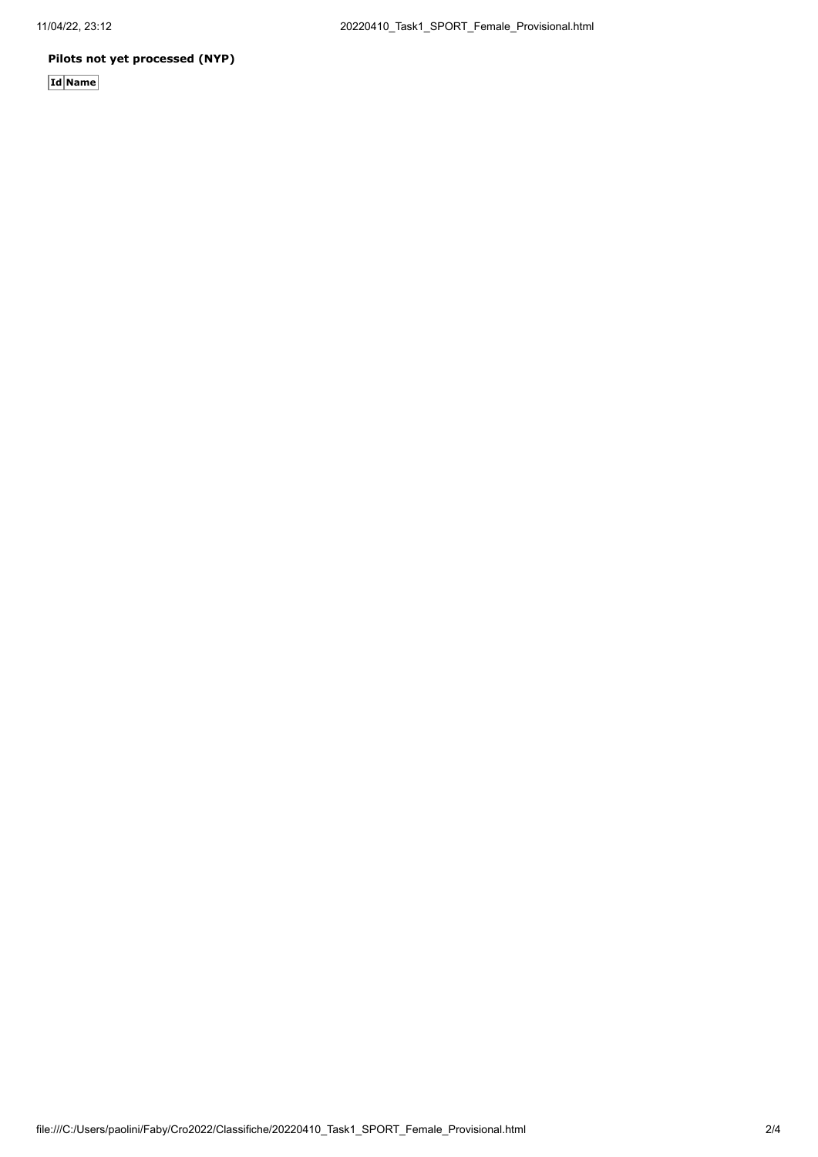### **Pilots not yet processed (NYP)**

**Id Name**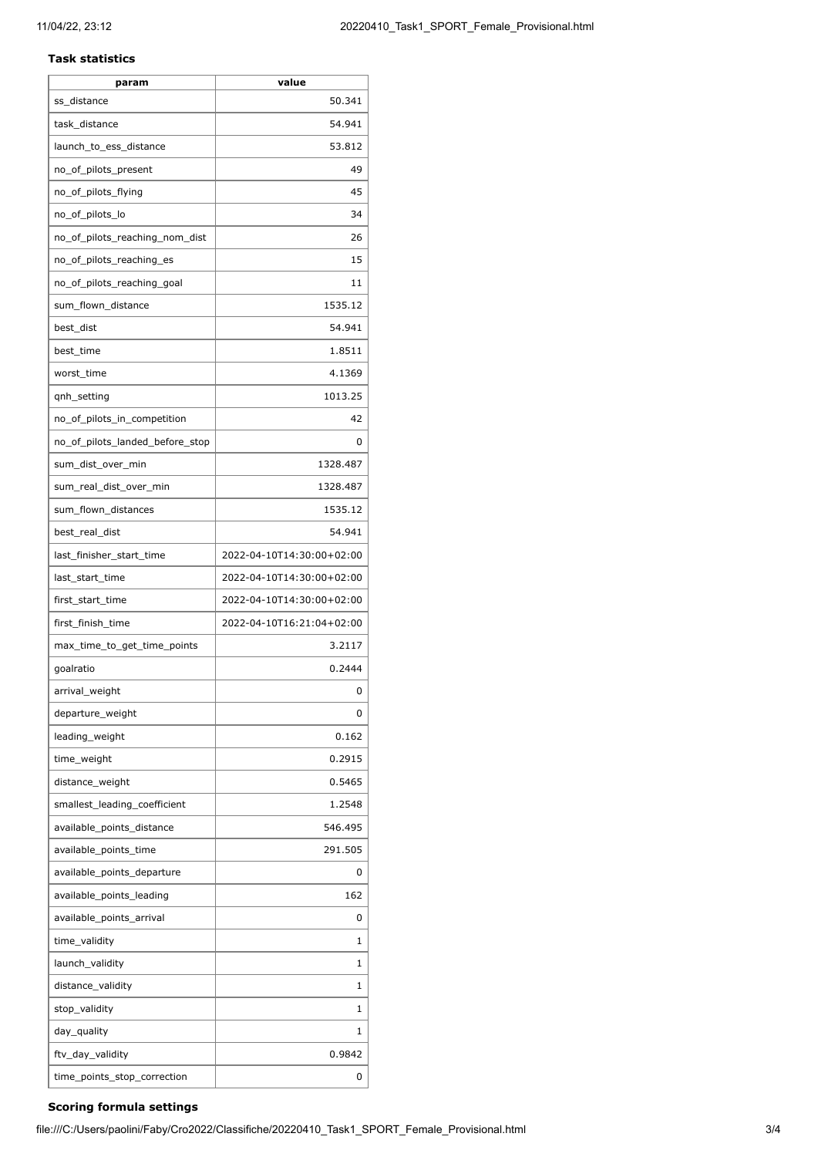#### **Task statistics**

| param                           | value                     |
|---------------------------------|---------------------------|
| ss_distance                     | 50.341                    |
| task_distance                   | 54.941                    |
| launch_to_ess_distance          | 53.812                    |
| no_of_pilots_present            | 49                        |
| no_of_pilots_flying             | 45                        |
| no_of_pilots_lo                 | 34                        |
| no_of_pilots_reaching_nom_dist  | 26                        |
| no_of_pilots_reaching_es        | 15                        |
| no_of_pilots_reaching_goal      | 11                        |
| sum_flown_distance              | 1535.12                   |
| best_dist                       | 54.941                    |
| best time                       | 1.8511                    |
| worst_time                      | 4.1369                    |
| qnh_setting                     | 1013.25                   |
| no_of_pilots_in_competition     | 42                        |
| no_of_pilots_landed_before_stop | 0                         |
| sum_dist_over_min               | 1328.487                  |
| sum_real_dist_over_min          | 1328.487                  |
| sum_flown_distances             | 1535.12                   |
| best_real_dist                  | 54.941                    |
| last_finisher_start_time        | 2022-04-10T14:30:00+02:00 |
| last_start_time                 | 2022-04-10T14:30:00+02:00 |
| first_start_time                | 2022-04-10T14:30:00+02:00 |
| first finish time               | 2022-04-10T16:21:04+02:00 |
| max_time_to_get_time_points     | 3.2117                    |
| goalratio                       | 0.2444                    |
| arrival_weight                  | 0                         |
| departure_weight                | 0                         |
| leading_weight                  | 0.162                     |
| time_weight                     | 0.2915                    |
| distance weight                 | 0.5465                    |
| smallest_leading_coefficient    | 1.2548                    |
| available_points_distance       | 546.495                   |
| available_points_time           | 291.505                   |
| available_points_departure      | 0                         |
| available points leading        | 162                       |
|                                 | 0                         |
| available_points_arrival        |                           |
| time_validity                   | 1                         |
| launch_validity                 | 1                         |
| distance_validity               | 1                         |
| stop_validity                   | 1                         |
| day_quality                     | 1                         |
| ftv_day_validity                | 0.9842                    |
| time_points_stop_correction     | 0                         |

# **Scoring formula settings**